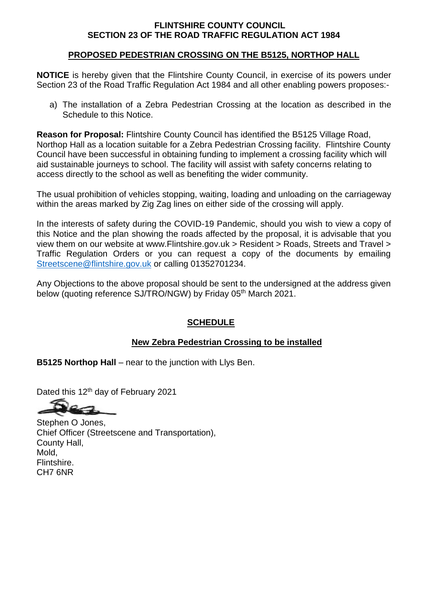## **FLINTSHIRE COUNTY COUNCIL SECTION 23 OF THE ROAD TRAFFIC REGULATION ACT 1984**

## **PROPOSED PEDESTRIAN CROSSING ON THE B5125, NORTHOP HALL**

**NOTICE** is hereby given that the Flintshire County Council, in exercise of its powers under Section 23 of the Road Traffic Regulation Act 1984 and all other enabling powers proposes:-

a) The installation of a Zebra Pedestrian Crossing at the location as described in the Schedule to this Notice.

**Reason for Proposal:** Flintshire County Council has identified the B5125 Village Road, Northop Hall as a location suitable for a Zebra Pedestrian Crossing facility. Flintshire County Council have been successful in obtaining funding to implement a crossing facility which will aid sustainable journeys to school. The facility will assist with safety concerns relating to access directly to the school as well as benefiting the wider community.

The usual prohibition of vehicles stopping, waiting, loading and unloading on the carriageway within the areas marked by Zig Zag lines on either side of the crossing will apply.

In the interests of safety during the COVID-19 Pandemic, should you wish to view a copy of this Notice and the plan showing the roads affected by the proposal, it is advisable that you view them on our website at www.Flintshire.gov.uk > Resident > Roads, Streets and Travel > Traffic Regulation Orders or you can request a copy of the documents by emailing [Streetscene@flintshire.gov.uk](mailto:Streetscene@flintshire.gov.uk) or calling 01352701234.

Any Objections to the above proposal should be sent to the undersigned at the address given below (quoting reference SJ/TRO/NGW) by Friday 05<sup>th</sup> March 2021.

## **SCHEDULE**

## **New Zebra Pedestrian Crossing to be installed**

**B5125 Northop Hall** – near to the junction with Llys Ben.

Dated this 12<sup>th</sup> day of February 2021

Stephen O Jones, Chief Officer (Streetscene and Transportation), County Hall, Mold, Flintshire. CH7 6NR